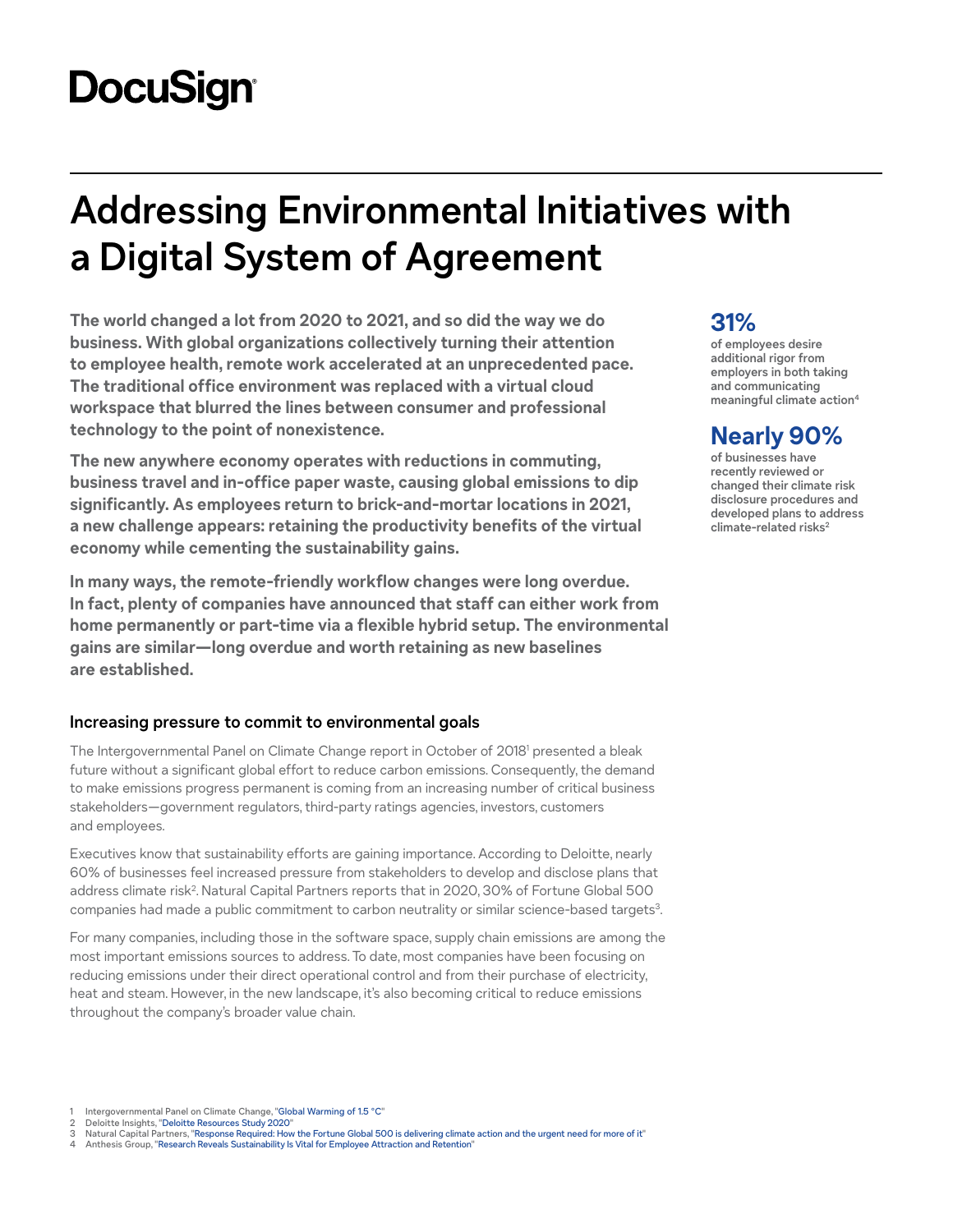# **DocuSign®**

# **Addressing Environmental Initiatives with a Digital System of Agreement**

**The world changed a lot from 2020 to 2021, and so did the way we do business. With global organizations collectively turning their attention to employee health, remote work accelerated at an unprecedented pace. The traditional office environment was replaced with a virtual cloud workspace that blurred the lines between consumer and professional technology to the point of nonexistence.**

**The new anywhere economy operates with reductions in commuting, business travel and in-office paper waste, causing global emissions to dip significantly. As employees return to brick-and-mortar locations in 2021, a new challenge appears: retaining the productivity benefits of the virtual economy while cementing the sustainability gains.**

**In many ways, the remote-friendly workflow changes were long overdue. In fact, plenty of companies have announced that staff can either work from home permanently or part-time via a flexible hybrid setup. The environmental gains are similar—long overdue and worth retaining as new baselines are established.**

## **Increasing pressure to commit to environmental goals**

The Intergovernmental Panel on Climate Change report in October of 20181 presented a bleak future without a significant global effort to reduce carbon emissions. Consequently, the demand to make emissions progress permanent is coming from an increasing number of critical business stakeholders—government regulators, third-party ratings agencies, investors, customers and employees.

Executives know that sustainability efforts are gaining importance. According to Deloitte, nearly 60% of businesses feel increased pressure from stakeholders to develop and disclose plans that address climate risk<sup>2</sup>. Natural Capital Partners reports that in 2020, 30% of Fortune Global 500 companies had made a public commitment to carbon neutrality or similar science-based targets<sup>3</sup>.

For many companies, including those in the software space, supply chain emissions are among the most important emissions sources to address. To date, most companies have been focusing on reducing emissions under their direct operational control and from their purchase of electricity, heat and steam. However, in the new landscape, it's also becoming critical to reduce emissions throughout the company's broader value chain.

#### Intergovernmental Panel on Climate Change, "[Global Warming of 1.5 °C](https://www.ipcc.ch/sr15/)"

- 2 Deloitte Insights, ["Deloitte Resources Study 2020](https://www2.deloitte.com/content/dam/insights/us/articles/6655_Resources-study-2020/DI_Resources-study-2020.pdf)"<br>3 Natural Capital Partners, "Response Required: How
- Natural Capital Partners, ["Response Required: How the Fortune Global 500 is delivering climate action and the urgent need for more of it](https://www.naturalcapitalpartners.com/news-resources/response-required)"
- Anthesis Group, "[Research Reveals Sustainability Is Vital for Employee Attraction and Retention](https://www.anthesisgroup.com/sustainability-vital-for-employee-attraction/)"

# **31%**

**of employees desire additional rigor from employers in both taking and communicating meaningful climate action4**

# **Nearly 90%**

**of businesses have recently reviewed or changed their climate risk disclosure procedures and developed plans to address**  climate-related risks<sup>2</sup>